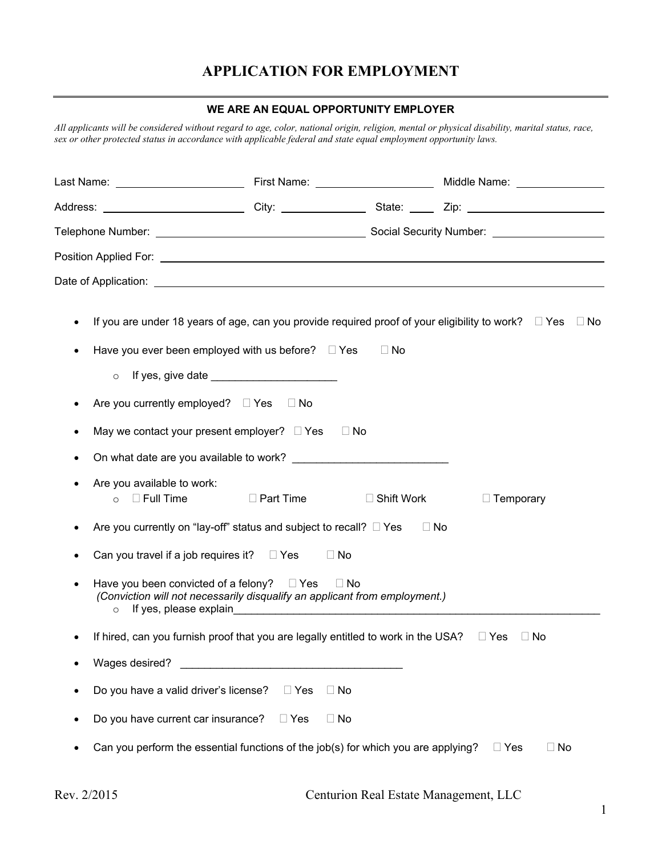# **APPLICATION FOR EMPLOYMENT**

#### **WE ARE AN EQUAL OPPORTUNITY EMPLOYER**

*All applicants will be considered without regard to age, color, national origin, religion, mental or physical disability, marital status, race, sex or other protected status in accordance with applicable federal and state equal employment opportunity laws.* 

|                                                                                                                                  |                         |                   | Address: ____________________________City: ____________________State: _______Zip: _______________________                |  |  |  |  |
|----------------------------------------------------------------------------------------------------------------------------------|-------------------------|-------------------|--------------------------------------------------------------------------------------------------------------------------|--|--|--|--|
|                                                                                                                                  |                         |                   |                                                                                                                          |  |  |  |  |
|                                                                                                                                  |                         |                   |                                                                                                                          |  |  |  |  |
|                                                                                                                                  |                         |                   |                                                                                                                          |  |  |  |  |
| Have you ever been employed with us before? $\Box$ Yes                                                                           |                         | $\Box$ No         | If you are under 18 years of age, can you provide required proof of your eligibility to work? $\square$ Yes $\square$ No |  |  |  |  |
| $\circ$                                                                                                                          |                         |                   |                                                                                                                          |  |  |  |  |
| Are you currently employed? $\Box$ Yes $\Box$ No                                                                                 |                         |                   |                                                                                                                          |  |  |  |  |
| May we contact your present employer? $\Box$ Yes                                                                                 |                         | $\Box$ No         |                                                                                                                          |  |  |  |  |
| On what date are you available to work?                                                                                          |                         |                   |                                                                                                                          |  |  |  |  |
| Are you available to work:<br>○ Full Time DPart Time                                                                             |                         | $\Box$ Shift Work | $\Box$ Temporary                                                                                                         |  |  |  |  |
| Are you currently on "lay-off" status and subject to recall? $\Box$ Yes                                                          |                         | $\Box$ No         |                                                                                                                          |  |  |  |  |
| Can you travel if a job requires it? $\square$ Yes                                                                               | $\Box$ No               |                   |                                                                                                                          |  |  |  |  |
| Have you been convicted of a felony? $\square$ Yes<br>(Conviction will not necessarily disqualify an applicant from employment.) |                         | $\Box$ No         |                                                                                                                          |  |  |  |  |
| If hired, can you furnish proof that you are legally entitled to work in the USA? $\square$ Yes                                  |                         |                   | ⊟ No                                                                                                                     |  |  |  |  |
| Wages desired?                                                                                                                   |                         |                   |                                                                                                                          |  |  |  |  |
| Do you have a valid driver's license?                                                                                            | $\Box$ No<br>$\Box$ Yes |                   |                                                                                                                          |  |  |  |  |
| Do you have current car insurance?                                                                                               | $\Box$ No<br>$\Box$ Yes |                   |                                                                                                                          |  |  |  |  |
| Can you perform the essential functions of the job(s) for which you are applying?                                                |                         |                   | $\Box$ Yes<br>$\Box$ No                                                                                                  |  |  |  |  |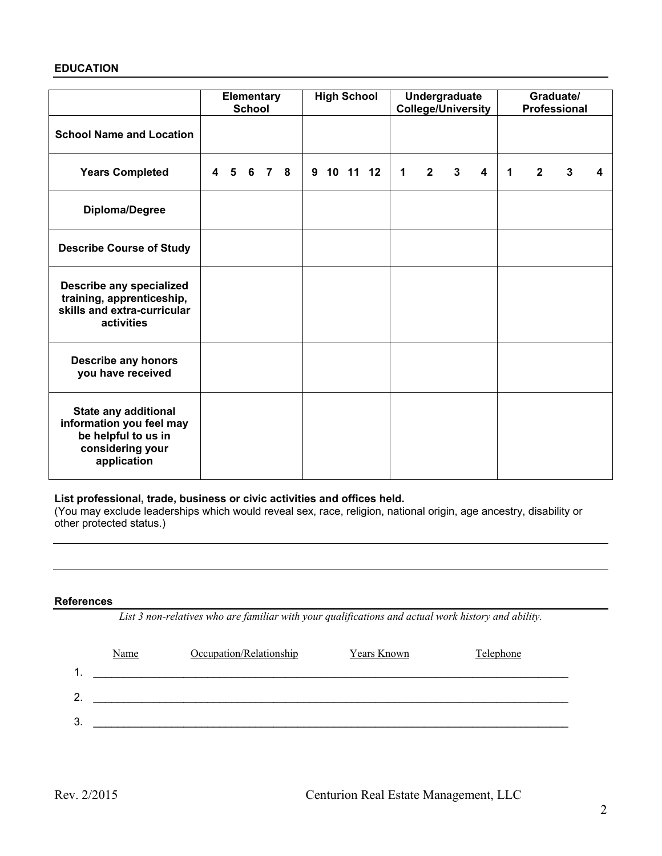#### **EDUCATION**

|                                                                                                            |  | <b>School</b> | Elementary |  | <b>High School</b> |             |             | Undergraduate<br><b>College/University</b> |                         |   |              | Graduate/<br><b>Professional</b> |   |
|------------------------------------------------------------------------------------------------------------|--|---------------|------------|--|--------------------|-------------|-------------|--------------------------------------------|-------------------------|---|--------------|----------------------------------|---|
| <b>School Name and Location</b>                                                                            |  |               |            |  |                    |             |             |                                            |                         |   |              |                                  |   |
| <b>Years Completed</b>                                                                                     |  |               | 4 5 6 7 8  |  | 9 10 11 12         | $\mathbf 1$ | $2^{\circ}$ | $\mathbf{3}$                               | $\overline{\mathbf{4}}$ | 1 | $\mathbf{2}$ | 3                                | 4 |
| Diploma/Degree                                                                                             |  |               |            |  |                    |             |             |                                            |                         |   |              |                                  |   |
| <b>Describe Course of Study</b>                                                                            |  |               |            |  |                    |             |             |                                            |                         |   |              |                                  |   |
| Describe any specialized<br>training, apprenticeship,<br>skills and extra-curricular<br>activities         |  |               |            |  |                    |             |             |                                            |                         |   |              |                                  |   |
| <b>Describe any honors</b><br>you have received                                                            |  |               |            |  |                    |             |             |                                            |                         |   |              |                                  |   |
| State any additional<br>information you feel may<br>be helpful to us in<br>considering your<br>application |  |               |            |  |                    |             |             |                                            |                         |   |              |                                  |   |

#### **List professional, trade, business or civic activities and offices held.**

(You may exclude leaderships which would reveal sex, race, religion, national origin, age ancestry, disability or other protected status.)

#### **References**

*List 3 non-relatives who are familiar with your qualifications and actual work history and ability.* 

|   | <b>Name</b> | Occupation/Relationship | <b>Years Known</b> | Telephone |
|---|-------------|-------------------------|--------------------|-----------|
|   |             |                         |                    |           |
| - |             |                         |                    |           |
| 3 |             |                         |                    |           |
|   |             |                         |                    |           |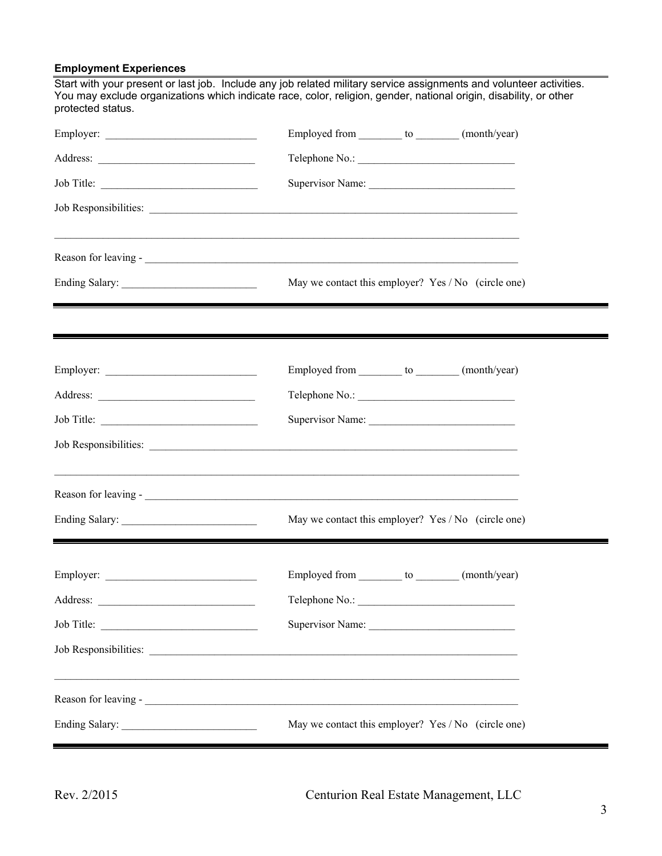### **Employment Experiences**

Start with your present or last job. Include any job related military service assignments and volunteer activities. You may exclude organizations which indicate race, color, religion, gender, national origin, disability, or other protected status.

| Employer:  | Employed from _________ to ________ (month/year)    |
|------------|-----------------------------------------------------|
|            |                                                     |
| Job Title: | Supervisor Name:                                    |
|            |                                                     |
|            |                                                     |
|            | May we contact this employer? Yes / No (circle one) |
|            |                                                     |
|            | Employed from _________ to ________ (month/year)    |
|            |                                                     |
| Job Title: | Supervisor Name:                                    |
|            |                                                     |
|            |                                                     |
|            | May we contact this employer? Yes / No (circle one) |
|            | Employed from _________ to ________ (month/year)    |
| Address:   | Telephone No.:                                      |
| Job Title: |                                                     |
|            |                                                     |
|            |                                                     |
|            | May we contact this employer? Yes / No (circle one) |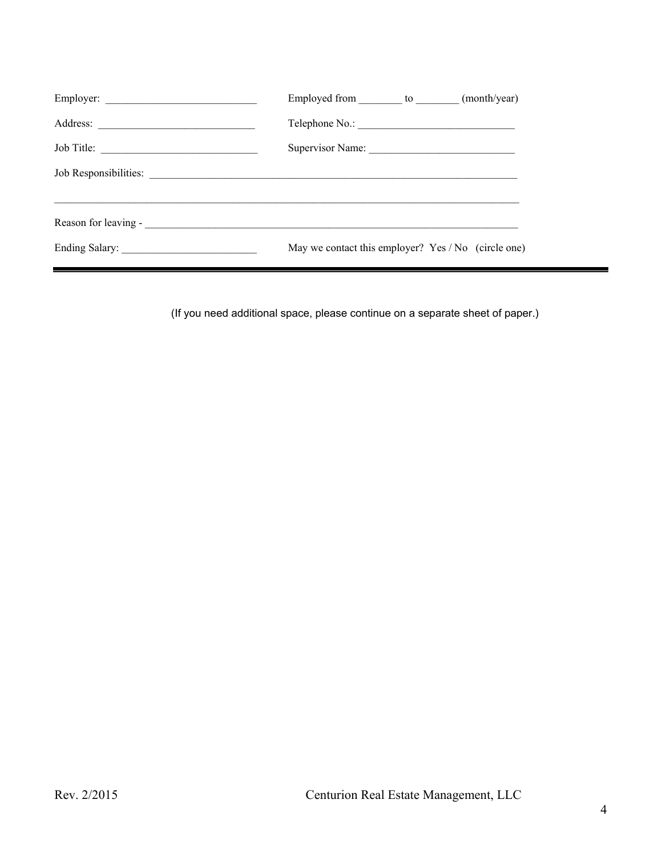| Employer:  | Employed from to (month/year)                       |
|------------|-----------------------------------------------------|
|            |                                                     |
| Job Title: | Supervisor Name:                                    |
|            |                                                     |
|            |                                                     |
|            | May we contact this employer? Yes / No (circle one) |

(If you need additional space, please continue on a separate sheet of paper.)